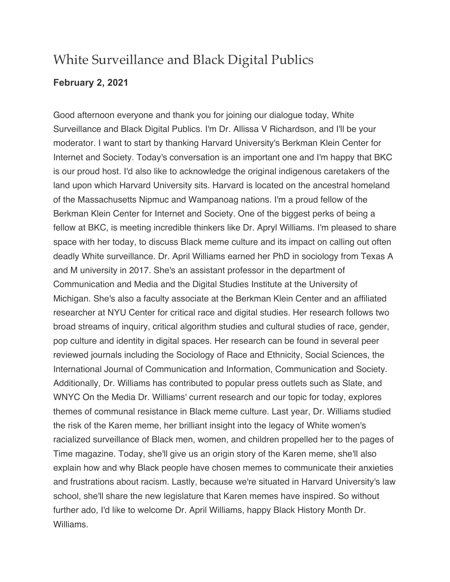## White Surveillance and Black Digital Publics

## **February 2, 2021**

 Good afternoon everyone and thank you for joining our dialogue today, White Surveillance and Black Digital Publics. I'm Dr. Allissa V Richardson, and I'll be your moderator. I want to start by thanking Harvard University's Berkman Klein Center for Internet and Society. Today's conversation is an important one and I'm happy that BKC is our proud host. I'd also like to acknowledge the original indigenous caretakers of the land upon which Harvard University sits. Harvard is located on the ancestral homeland of the Massachusetts Nipmuc and Wampanoag nations. I'm a proud fellow of the Berkman Klein Center for Internet and Society. One of the biggest perks of being a fellow at BKC, is meeting incredible thinkers like Dr. Apryl Williams. I'm pleased to share space with her today, to discuss Black meme culture and its impact on calling out often deadly White surveillance. Dr. April Williams earned her PhD in sociology from Texas A and M university in 2017. She's an assistant professor in the department of Communication and Media and the Digital Studies Institute at the University of Michigan. She's also a faculty associate at the Berkman Klein Center and an affiliated researcher at NYU Center for critical race and digital studies. Her research follows two broad streams of inquiry, critical algorithm studies and cultural studies of race, gender, pop culture and identity in digital spaces. Her research can be found in several peer reviewed journals including the Sociology of Race and Ethnicity, Social Sciences, the International Journal of Communication and Information, Communication and Society. Additionally, Dr. Williams has contributed to popular press outlets such as Slate, and WNYC On the Media Dr. Williams' current research and our topic for today, explores themes of communal resistance in Black meme culture. Last year, Dr. Williams studied the risk of the Karen meme, her brilliant insight into the legacy of White women's racialized surveillance of Black men, women, and children propelled her to the pages of Time magazine. Today, she'll give us an origin story of the Karen meme, she'll also explain how and why Black people have chosen memes to communicate their anxieties and frustrations about racism. Lastly, because we're situated in Harvard University's law school, she'll share the new legislature that Karen memes have inspired. So without further ado, I'd like to welcome Dr. April Williams, happy Black History Month Dr. Williams.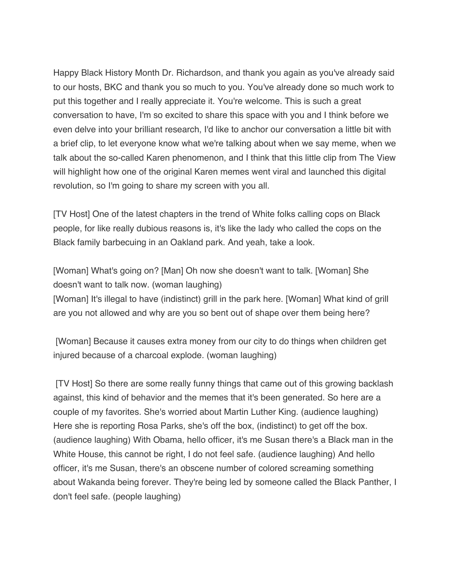Happy Black History Month Dr. Richardson, and thank you again as you've already said to our hosts, BKC and thank you so much to you. You've already done so much work to put this together and I really appreciate it. You're welcome. This is such a great conversation to have, I'm so excited to share this space with you and I think before we even delve into your brilliant research, I'd like to anchor our conversation a little bit with a brief clip, to let everyone know what we're talking about when we say meme, when we talk about the so-called Karen phenomenon, and I think that this little clip from The View will highlight how one of the original Karen memes went viral and launched this digital revolution, so I'm going to share my screen with you all.

 [TV Host] One of the latest chapters in the trend of White folks calling cops on Black people, for like really dubious reasons is, it's like the lady who called the cops on the Black family barbecuing in an Oakland park. And yeah, take a look.

 [Woman] What's going on? [Man] Oh now she doesn't want to talk. [Woman] She doesn't want to talk now. (woman laughing) [Woman] It's illegal to have (indistinct) grill in the park here. [Woman] What kind of grill are you not allowed and why are you so bent out of shape over them being here?

 [Woman] Because it causes extra money from our city to do things when children get injured because of a charcoal explode. (woman laughing)

 [TV Host] So there are some really funny things that came out of this growing backlash against, this kind of behavior and the memes that it's been generated. So here are a couple of my favorites. She's worried about Martin Luther King. (audience laughing) Here she is reporting Rosa Parks, she's off the box, (indistinct) to get off the box. (audience laughing) With Obama, hello officer, it's me Susan there's a Black man in the White House, this cannot be right, I do not feel safe. (audience laughing) And hello officer, it's me Susan, there's an obscene number of colored screaming something about Wakanda being forever. They're being led by someone called the Black Panther, I don't feel safe. (people laughing)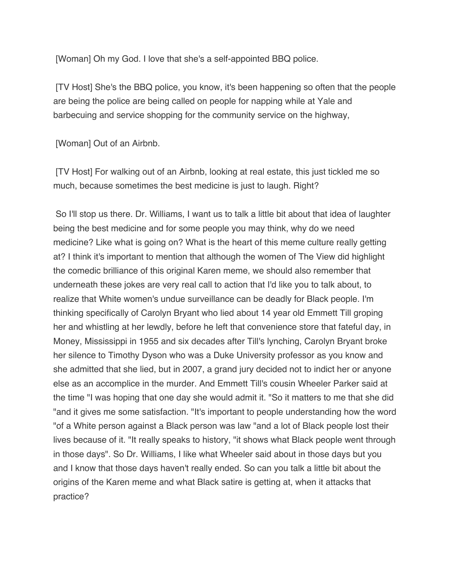[Woman] Oh my God. I love that she's a self-appointed BBQ police.

 [TV Host] She's the BBQ police, you know, it's been happening so often that the people are being the police are being called on people for napping while at Yale and barbecuing and service shopping for the community service on the highway,

[Woman] Out of an Airbnb.

 [TV Host] For walking out of an Airbnb, looking at real estate, this just tickled me so much, because sometimes the best medicine is just to laugh. Right?

 So I'll stop us there. Dr. Williams, I want us to talk a little bit about that idea of laughter being the best medicine and for some people you may think, why do we need medicine? Like what is going on? What is the heart of this meme culture really getting at? I think it's important to mention that although the women of The View did highlight the comedic brilliance of this original Karen meme, we should also remember that underneath these jokes are very real call to action that I'd like you to talk about, to realize that White women's undue surveillance can be deadly for Black people. I'm thinking specifically of Carolyn Bryant who lied about 14 year old Emmett Till groping her and whistling at her lewdly, before he left that convenience store that fateful day, in Money, Mississippi in 1955 and six decades after Till's lynching, Carolyn Bryant broke her silence to Timothy Dyson who was a Duke University professor as you know and she admitted that she lied, but in 2007, a grand jury decided not to indict her or anyone else as an accomplice in the murder. And Emmett Till's cousin Wheeler Parker said at the time "I was hoping that one day she would admit it. "So it matters to me that she did "and it gives me some satisfaction. "It's important to people understanding how the word "of a White person against a Black person was law "and a lot of Black people lost their lives because of it. "It really speaks to history, "it shows what Black people went through in those days". So Dr. Williams, I like what Wheeler said about in those days but you and I know that those days haven't really ended. So can you talk a little bit about the origins of the Karen meme and what Black satire is getting at, when it attacks that practice?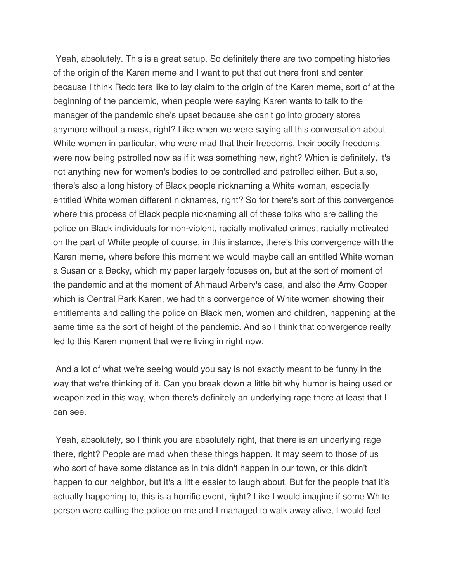Yeah, absolutely. This is a great setup. So definitely there are two competing histories of the origin of the Karen meme and I want to put that out there front and center because I think Redditers like to lay claim to the origin of the Karen meme, sort of at the beginning of the pandemic, when people were saying Karen wants to talk to the manager of the pandemic she's upset because she can't go into grocery stores anymore without a mask, right? Like when we were saying all this conversation about White women in particular, who were mad that their freedoms, their bodily freedoms were now being patrolled now as if it was something new, right? Which is definitely, it's not anything new for women's bodies to be controlled and patrolled either. But also, there's also a long history of Black people nicknaming a White woman, especially entitled White women different nicknames, right? So for there's sort of this convergence where this process of Black people nicknaming all of these folks who are calling the police on Black individuals for non-violent, racially motivated crimes, racially motivated on the part of White people of course, in this instance, there's this convergence with the Karen meme, where before this moment we would maybe call an entitled White woman a Susan or a Becky, which my paper largely focuses on, but at the sort of moment of the pandemic and at the moment of Ahmaud Arbery's case, and also the Amy Cooper which is Central Park Karen, we had this convergence of White women showing their entitlements and calling the police on Black men, women and children, happening at the same time as the sort of height of the pandemic. And so I think that convergence really led to this Karen moment that we're living in right now.

 And a lot of what we're seeing would you say is not exactly meant to be funny in the way that we're thinking of it. Can you break down a little bit why humor is being used or weaponized in this way, when there's definitely an underlying rage there at least that I can see.

 Yeah, absolutely, so I think you are absolutely right, that there is an underlying rage there, right? People are mad when these things happen. It may seem to those of us who sort of have some distance as in this didn't happen in our town, or this didn't happen to our neighbor, but it's a little easier to laugh about. But for the people that it's actually happening to, this is a horrific event, right? Like I would imagine if some White person were calling the police on me and I managed to walk away alive, I would feel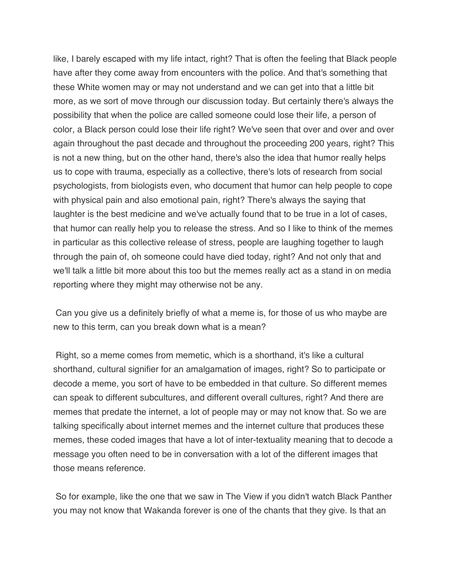like, I barely escaped with my life intact, right? That is often the feeling that Black people have after they come away from encounters with the police. And that's something that these White women may or may not understand and we can get into that a little bit more, as we sort of move through our discussion today. But certainly there's always the possibility that when the police are called someone could lose their life, a person of color, a Black person could lose their life right? We've seen that over and over and over again throughout the past decade and throughout the proceeding 200 years, right? This is not a new thing, but on the other hand, there's also the idea that humor really helps us to cope with trauma, especially as a collective, there's lots of research from social psychologists, from biologists even, who document that humor can help people to cope with physical pain and also emotional pain, right? There's always the saying that laughter is the best medicine and we've actually found that to be true in a lot of cases, that humor can really help you to release the stress. And so I like to think of the memes in particular as this collective release of stress, people are laughing together to laugh through the pain of, oh someone could have died today, right? And not only that and we'll talk a little bit more about this too but the memes really act as a stand in on media reporting where they might may otherwise not be any.

 Can you give us a definitely briefly of what a meme is, for those of us who maybe are new to this term, can you break down what is a mean?

 Right, so a meme comes from memetic, which is a shorthand, it's like a cultural shorthand, cultural signifier for an amalgamation of images, right? So to participate or decode a meme, you sort of have to be embedded in that culture. So different memes can speak to different subcultures, and different overall cultures, right? And there are memes that predate the internet, a lot of people may or may not know that. So we are talking specifically about internet memes and the internet culture that produces these memes, these coded images that have a lot of inter-textuality meaning that to decode a message you often need to be in conversation with a lot of the different images that those means reference.

those means reference.<br>So for example, like the one that we saw in The View if you didn't watch Black Panther you may not know that Wakanda forever is one of the chants that they give. Is that an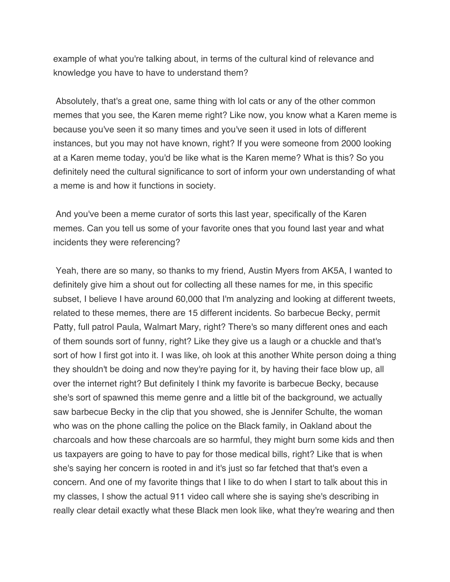example of what you're talking about, in terms of the cultural kind of relevance and knowledge you have to have to understand them?

 Absolutely, that's a great one, same thing with lol cats or any of the other common memes that you see, the Karen meme right? Like now, you know what a Karen meme is because you've seen it so many times and you've seen it used in lots of different instances, but you may not have known, right? If you were someone from 2000 looking at a Karen meme today, you'd be like what is the Karen meme? What is this? So you definitely need the cultural significance to sort of inform your own understanding of what a meme is and how it functions in society.

 And you've been a meme curator of sorts this last year, specifically of the Karen memes. Can you tell us some of your favorite ones that you found last year and what incidents they were referencing?

incidents they were referencing?<br>Yeah, there are so many, so thanks to my friend, Austin Myers from AK5A, I wanted to definitely give him a shout out for collecting all these names for me, in this specific subset, I believe I have around 60,000 that I'm analyzing and looking at different tweets, related to these memes, there are 15 different incidents. So barbecue Becky, permit Patty, full patrol Paula, Walmart Mary, right? There's so many different ones and each of them sounds sort of funny, right? Like they give us a laugh or a chuckle and that's sort of how I first got into it. I was like, oh look at this another White person doing a thing they shouldn't be doing and now they're paying for it, by having their face blow up, all over the internet right? But definitely I think my favorite is barbecue Becky, because she's sort of spawned this meme genre and a little bit of the background, we actually saw barbecue Becky in the clip that you showed, she is Jennifer Schulte, the woman who was on the phone calling the police on the Black family, in Oakland about the charcoals and how these charcoals are so harmful, they might burn some kids and then us taxpayers are going to have to pay for those medical bills, right? Like that is when she's saying her concern is rooted in and it's just so far fetched that that's even a concern. And one of my favorite things that I like to do when I start to talk about this in my classes, I show the actual 911 video call where she is saying she's describing in really clear detail exactly what these Black men look like, what they're wearing and then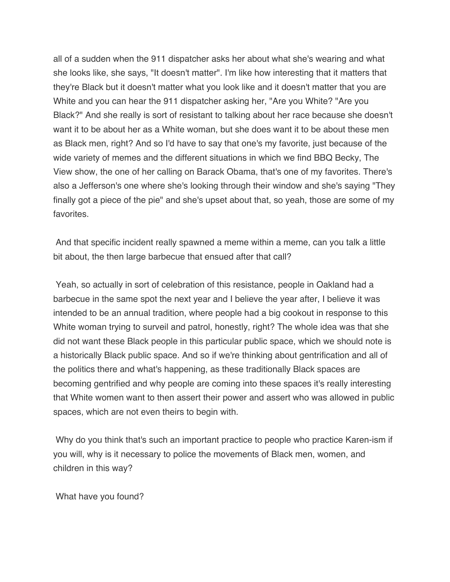all of a sudden when the 911 dispatcher asks her about what she's wearing and what she looks like, she says, "It doesn't matter". I'm like how interesting that it matters that they're Black but it doesn't matter what you look like and it doesn't matter that you are White and you can hear the 911 dispatcher asking her, "Are you White? "Are you Black?" And she really is sort of resistant to talking about her race because she doesn't want it to be about her as a White woman, but she does want it to be about these men as Black men, right? And so I'd have to say that one's my favorite, just because of the wide variety of memes and the different situations in which we find BBQ Becky, The View show, the one of her calling on Barack Obama, that's one of my favorites. There's also a Jefferson's one where she's looking through their window and she's saying "They finally got a piece of the pie" and she's upset about that, so yeah, those are some of my favorites.

favorites.<br>And that specific incident really spawned a meme within a meme, can you talk a little bit about, the then large barbecue that ensued after that call?

 Yeah, so actually in sort of celebration of this resistance, people in Oakland had a barbecue in the same spot the next year and I believe the year after, I believe it was intended to be an annual tradition, where people had a big cookout in response to this White woman trying to surveil and patrol, honestly, right? The whole idea was that she did not want these Black people in this particular public space, which we should note is a historically Black public space. And so if we're thinking about gentrification and all of the politics there and what's happening, as these traditionally Black spaces are becoming gentrified and why people are coming into these spaces it's really interesting that White women want to then assert their power and assert who was allowed in public spaces, which are not even theirs to begin with.

 Why do you think that's such an important practice to people who practice Karen-ism if you will, why is it necessary to police the movements of Black men, women, and children in this way?

What have you found?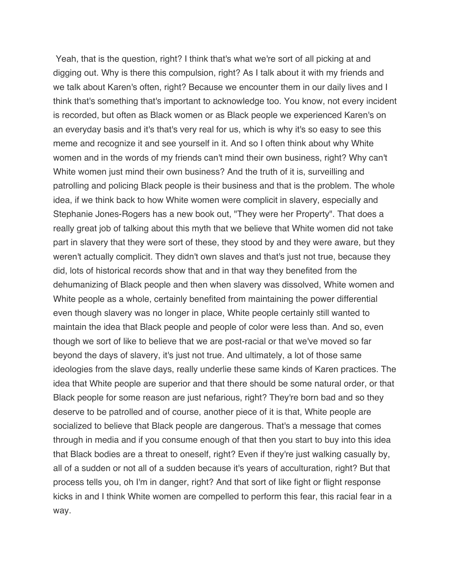Yeah, that is the question, right? I think that's what we're sort of all picking at and digging out. Why is there this compulsion, right? As I talk about it with my friends and we talk about Karen's often, right? Because we encounter them in our daily lives and I think that's something that's important to acknowledge too. You know, not every incident is recorded, but often as Black women or as Black people we experienced Karen's on an everyday basis and it's that's very real for us, which is why it's so easy to see this meme and recognize it and see yourself in it. And so I often think about why White women and in the words of my friends can't mind their own business, right? Why can't White women just mind their own business? And the truth of it is, surveilling and patrolling and policing Black people is their business and that is the problem. The whole idea, if we think back to how White women were complicit in slavery, especially and Stephanie Jones-Rogers has a new book out, "They were her Property". That does a really great job of talking about this myth that we believe that White women did not take part in slavery that they were sort of these, they stood by and they were aware, but they weren't actually complicit. They didn't own slaves and that's just not true, because they did, lots of historical records show that and in that way they benefited from the dehumanizing of Black people and then when slavery was dissolved, White women and White people as a whole, certainly benefited from maintaining the power differential even though slavery was no longer in place, White people certainly still wanted to maintain the idea that Black people and people of color were less than. And so, even though we sort of like to believe that we are post-racial or that we've moved so far beyond the days of slavery, it's just not true. And ultimately, a lot of those same ideologies from the slave days, really underlie these same kinds of Karen practices. The idea that White people are superior and that there should be some natural order, or that Black people for some reason are just nefarious, right? They're born bad and so they deserve to be patrolled and of course, another piece of it is that, White people are socialized to believe that Black people are dangerous. That's a message that comes through in media and if you consume enough of that then you start to buy into this idea that Black bodies are a threat to oneself, right? Even if they're just walking casually by, all of a sudden or not all of a sudden because it's years of acculturation, right? But that process tells you, oh I'm in danger, right? And that sort of like fight or flight response kicks in and I think White women are compelled to perform this fear, this racial fear in a way.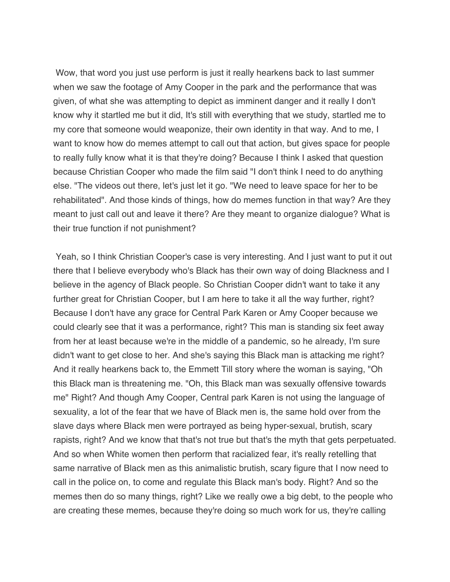Wow, that word you just use perform is just it really hearkens back to last summer when we saw the footage of Amy Cooper in the park and the performance that was given, of what she was attempting to depict as imminent danger and it really I don't know why it startled me but it did, It's still with everything that we study, startled me to my core that someone would weaponize, their own identity in that way. And to me, I want to know how do memes attempt to call out that action, but gives space for people to really fully know what it is that they're doing? Because I think I asked that question because Christian Cooper who made the film said "I don't think I need to do anything else. "The videos out there, let's just let it go. "We need to leave space for her to be rehabilitated". And those kinds of things, how do memes function in that way? Are they meant to just call out and leave it there? Are they meant to organize dialogue? What is their true function if not punishment?

 Yeah, so I think Christian Cooper's case is very interesting. And I just want to put it out there that I believe everybody who's Black has their own way of doing Blackness and I believe in the agency of Black people. So Christian Cooper didn't want to take it any further great for Christian Cooper, but I am here to take it all the way further, right? Because I don't have any grace for Central Park Karen or Amy Cooper because we could clearly see that it was a performance, right? This man is standing six feet away from her at least because we're in the middle of a pandemic, so he already, I'm sure didn't want to get close to her. And she's saying this Black man is attacking me right? And it really hearkens back to, the Emmett Till story where the woman is saying, "Oh this Black man is threatening me. "Oh, this Black man was sexually offensive towards me" Right? And though Amy Cooper, Central park Karen is not using the language of sexuality, a lot of the fear that we have of Black men is, the same hold over from the slave days where Black men were portrayed as being hyper-sexual, brutish, scary rapists, right? And we know that that's not true but that's the myth that gets perpetuated. And so when White women then perform that racialized fear, it's really retelling that same narrative of Black men as this animalistic brutish, scary figure that I now need to call in the police on, to come and regulate this Black man's body. Right? And so the memes then do so many things, right? Like we really owe a big debt, to the people who are creating these memes, because they're doing so much work for us, they're calling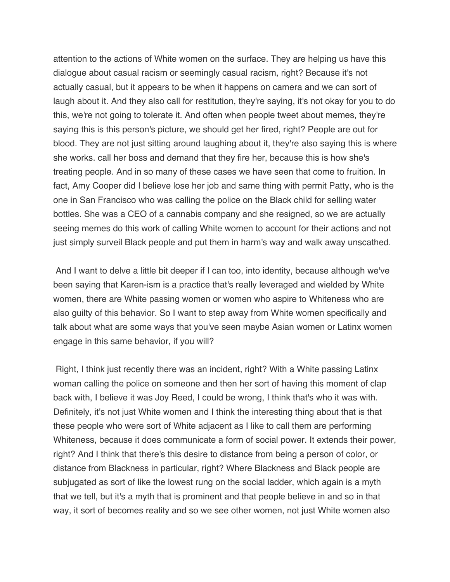attention to the actions of White women on the surface. They are helping us have this dialogue about casual racism or seemingly casual racism, right? Because it's not actually casual, but it appears to be when it happens on camera and we can sort of laugh about it. And they also call for restitution, they're saying, it's not okay for you to do this, we're not going to tolerate it. And often when people tweet about memes, they're saying this is this person's picture, we should get her fired, right? People are out for blood. They are not just sitting around laughing about it, they're also saying this is where she works. call her boss and demand that they fire her, because this is how she's treating people. And in so many of these cases we have seen that come to fruition. In fact, Amy Cooper did I believe lose her job and same thing with permit Patty, who is the one in San Francisco who was calling the police on the Black child for selling water bottles. She was a CEO of a cannabis company and she resigned, so we are actually seeing memes do this work of calling White women to account for their actions and not just simply surveil Black people and put them in harm's way and walk away unscathed.

 And I want to delve a little bit deeper if I can too, into identity, because although we've been saying that Karen-ism is a practice that's really leveraged and wielded by White women, there are White passing women or women who aspire to Whiteness who are also guilty of this behavior. So I want to step away from White women specifically and talk about what are some ways that you've seen maybe Asian women or Latinx women engage in this same behavior, if you will?

 Right, I think just recently there was an incident, right? With a White passing Latinx woman calling the police on someone and then her sort of having this moment of clap back with, I believe it was Joy Reed, I could be wrong, I think that's who it was with. Definitely, it's not just White women and I think the interesting thing about that is that these people who were sort of White adjacent as I like to call them are performing Whiteness, because it does communicate a form of social power. It extends their power, right? And I think that there's this desire to distance from being a person of color, or distance from Blackness in particular, right? Where Blackness and Black people are subjugated as sort of like the lowest rung on the social ladder, which again is a myth that we tell, but it's a myth that is prominent and that people believe in and so in that way, it sort of becomes reality and so we see other women, not just White women also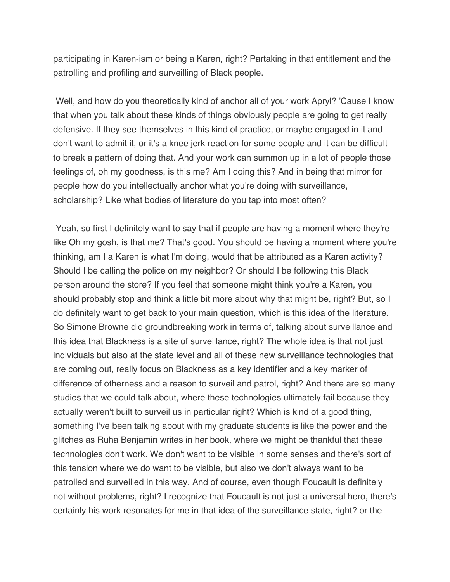participating in Karen-ism or being a Karen, right? Partaking in that entitlement and the patrolling and profiling and surveilling of Black people.

 Well, and how do you theoretically kind of anchor all of your work Apryl? 'Cause I know that when you talk about these kinds of things obviously people are going to get really defensive. If they see themselves in this kind of practice, or maybe engaged in it and don't want to admit it, or it's a knee jerk reaction for some people and it can be difficult to break a pattern of doing that. And your work can summon up in a lot of people those feelings of, oh my goodness, is this me? Am I doing this? And in being that mirror for people how do you intellectually anchor what you're doing with surveillance, scholarship? Like what bodies of literature do you tap into most often?

 Yeah, so first I definitely want to say that if people are having a moment where they're like Oh my gosh, is that me? That's good. You should be having a moment where you're thinking, am I a Karen is what I'm doing, would that be attributed as a Karen activity? Should I be calling the police on my neighbor? Or should I be following this Black person around the store? If you feel that someone might think you're a Karen, you should probably stop and think a little bit more about why that might be, right? But, so I do definitely want to get back to your main question, which is this idea of the literature. So Simone Browne did groundbreaking work in terms of, talking about surveillance and this idea that Blackness is a site of surveillance, right? The whole idea is that not just individuals but also at the state level and all of these new surveillance technologies that are coming out, really focus on Blackness as a key identifier and a key marker of difference of otherness and a reason to surveil and patrol, right? And there are so many studies that we could talk about, where these technologies ultimately fail because they actually weren't built to surveil us in particular right? Which is kind of a good thing, something I've been talking about with my graduate students is like the power and the glitches as Ruha Benjamin writes in her book, where we might be thankful that these technologies don't work. We don't want to be visible in some senses and there's sort of this tension where we do want to be visible, but also we don't always want to be patrolled and surveilled in this way. And of course, even though Foucault is definitely not without problems, right? I recognize that Foucault is not just a universal hero, there's certainly his work resonates for me in that idea of the surveillance state, right? or the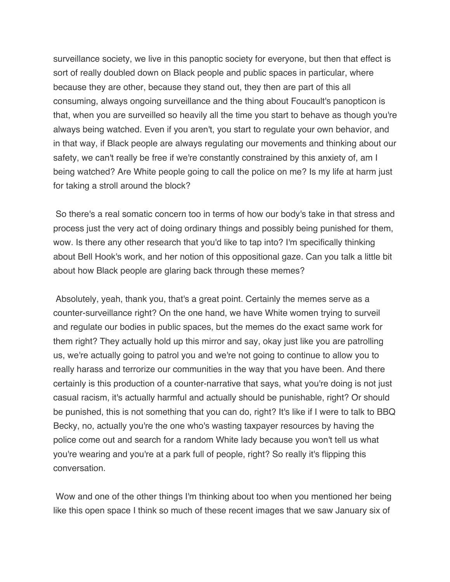surveillance society, we live in this panoptic society for everyone, but then that effect is sort of really doubled down on Black people and public spaces in particular, where because they are other, because they stand out, they then are part of this all consuming, always ongoing surveillance and the thing about Foucault's panopticon is that, when you are surveilled so heavily all the time you start to behave as though you're always being watched. Even if you aren't, you start to regulate your own behavior, and in that way, if Black people are always regulating our movements and thinking about our safety, we can't really be free if we're constantly constrained by this anxiety of, am I being watched? Are White people going to call the police on me? Is my life at harm just for taking a stroll around the block?

 So there's a real somatic concern too in terms of how our body's take in that stress and process just the very act of doing ordinary things and possibly being punished for them, wow. Is there any other research that you'd like to tap into? I'm specifically thinking about Bell Hook's work, and her notion of this oppositional gaze. Can you talk a little bit about how Black people are glaring back through these memes?

 Absolutely, yeah, thank you, that's a great point. Certainly the memes serve as a counter-surveillance right? On the one hand, we have White women trying to surveil and regulate our bodies in public spaces, but the memes do the exact same work for them right? They actually hold up this mirror and say, okay just like you are patrolling us, we're actually going to patrol you and we're not going to continue to allow you to really harass and terrorize our communities in the way that you have been. And there certainly is this production of a counter-narrative that says, what you're doing is not just casual racism, it's actually harmful and actually should be punishable, right? Or should be punished, this is not something that you can do, right? It's like if I were to talk to BBQ Becky, no, actually you're the one who's wasting taxpayer resources by having the police come out and search for a random White lady because you won't tell us what you're wearing and you're at a park full of people, right? So really it's flipping this conversation.

conversation.<br>Wow and one of the other things I'm thinking about too when you mentioned her being like this open space I think so much of these recent images that we saw January six of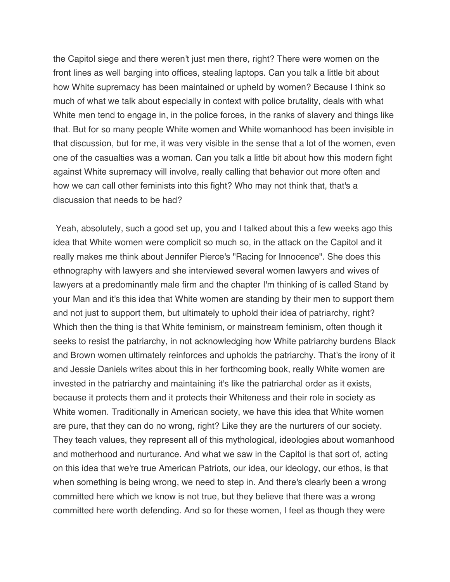the Capitol siege and there weren't just men there, right? There were women on the front lines as well barging into offices, stealing laptops. Can you talk a little bit about how White supremacy has been maintained or upheld by women? Because I think so much of what we talk about especially in context with police brutality, deals with what White men tend to engage in, in the police forces, in the ranks of slavery and things like that. But for so many people White women and White womanhood has been invisible in that discussion, but for me, it was very visible in the sense that a lot of the women, even one of the casualties was a woman. Can you talk a little bit about how this modern fight against White supremacy will involve, really calling that behavior out more often and how we can call other feminists into this fight? Who may not think that, that's a discussion that needs to be had?

 Yeah, absolutely, such a good set up, you and I talked about this a few weeks ago this idea that White women were complicit so much so, in the attack on the Capitol and it really makes me think about Jennifer Pierce's "Racing for Innocence". She does this ethnography with lawyers and she interviewed several women lawyers and wives of lawyers at a predominantly male firm and the chapter I'm thinking of is called Stand by your Man and it's this idea that White women are standing by their men to support them and not just to support them, but ultimately to uphold their idea of patriarchy, right? Which then the thing is that White feminism, or mainstream feminism, often though it seeks to resist the patriarchy, in not acknowledging how White patriarchy burdens Black and Brown women ultimately reinforces and upholds the patriarchy. That's the irony of it and Jessie Daniels writes about this in her forthcoming book, really White women are invested in the patriarchy and maintaining it's like the patriarchal order as it exists, because it protects them and it protects their Whiteness and their role in society as White women. Traditionally in American society, we have this idea that White women are pure, that they can do no wrong, right? Like they are the nurturers of our society. They teach values, they represent all of this mythological, ideologies about womanhood and motherhood and nurturance. And what we saw in the Capitol is that sort of, acting on this idea that we're true American Patriots, our idea, our ideology, our ethos, is that when something is being wrong, we need to step in. And there's clearly been a wrong committed here which we know is not true, but they believe that there was a wrong committed here worth defending. And so for these women, I feel as though they were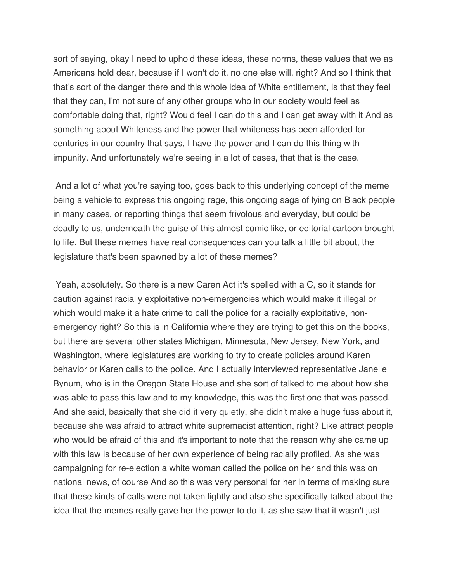sort of saying, okay I need to uphold these ideas, these norms, these values that we as Americans hold dear, because if I won't do it, no one else will, right? And so I think that that's sort of the danger there and this whole idea of White entitlement, is that they feel that they can, I'm not sure of any other groups who in our society would feel as comfortable doing that, right? Would feel I can do this and I can get away with it And as something about Whiteness and the power that whiteness has been afforded for centuries in our country that says, I have the power and I can do this thing with impunity. And unfortunately we're seeing in a lot of cases, that that is the case.

 And a lot of what you're saying too, goes back to this underlying concept of the meme being a vehicle to express this ongoing rage, this ongoing saga of lying on Black people in many cases, or reporting things that seem frivolous and everyday, but could be deadly to us, underneath the guise of this almost comic like, or editorial cartoon brought to life. But these memes have real consequences can you talk a little bit about, the legislature that's been spawned by a lot of these memes?

 Yeah, absolutely. So there is a new Caren Act it's spelled with a C, so it stands for caution against racially exploitative non-emergencies which would make it illegal or which would make it a hate crime to call the police for a racially exploitative, non- emergency right? So this is in California where they are trying to get this on the books, but there are several other states Michigan, Minnesota, New Jersey, New York, and Washington, where legislatures are working to try to create policies around Karen behavior or Karen calls to the police. And I actually interviewed representative Janelle Bynum, who is in the Oregon State House and she sort of talked to me about how she was able to pass this law and to my knowledge, this was the first one that was passed. And she said, basically that she did it very quietly, she didn't make a huge fuss about it, because she was afraid to attract white supremacist attention, right? Like attract people who would be afraid of this and it's important to note that the reason why she came up with this law is because of her own experience of being racially profiled. As she was campaigning for re-election a white woman called the police on her and this was on national news, of course And so this was very personal for her in terms of making sure that these kinds of calls were not taken lightly and also she specifically talked about the idea that the memes really gave her the power to do it, as she saw that it wasn't just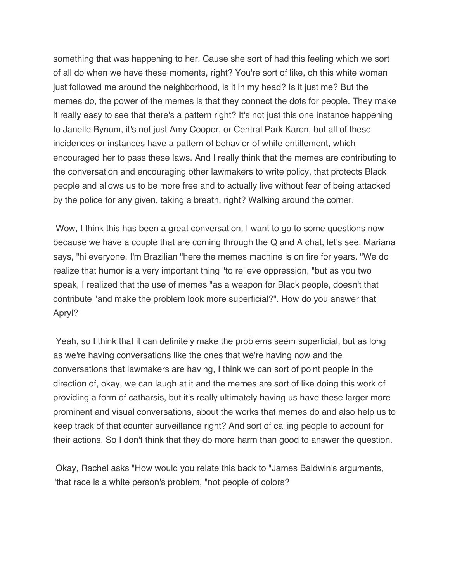something that was happening to her. Cause she sort of had this feeling which we sort of all do when we have these moments, right? You're sort of like, oh this white woman just followed me around the neighborhood, is it in my head? Is it just me? But the memes do, the power of the memes is that they connect the dots for people. They make it really easy to see that there's a pattern right? It's not just this one instance happening to Janelle Bynum, it's not just Amy Cooper, or Central Park Karen, but all of these incidences or instances have a pattern of behavior of white entitlement, which encouraged her to pass these laws. And I really think that the memes are contributing to the conversation and encouraging other lawmakers to write policy, that protects Black people and allows us to be more free and to actually live without fear of being attacked by the police for any given, taking a breath, right? Walking around the corner.

 Wow, I think this has been a great conversation, I want to go to some questions now because we have a couple that are coming through the Q and A chat, let's see, Mariana says, "hi everyone, I'm Brazilian "here the memes machine is on fire for years. "We do realize that humor is a very important thing "to relieve oppression, "but as you two speak, I realized that the use of memes "as a weapon for Black people, doesn't that contribute "and make the problem look more superficial?". How do you answer that Apryl?

Apryl?<br>Yeah, so I think that it can definitely make the problems seem superficial, but as long as we're having conversations like the ones that we're having now and the conversations that lawmakers are having, I think we can sort of point people in the direction of, okay, we can laugh at it and the memes are sort of like doing this work of providing a form of catharsis, but it's really ultimately having us have these larger more prominent and visual conversations, about the works that memes do and also help us to keep track of that counter surveillance right? And sort of calling people to account for their actions. So I don't think that they do more harm than good to answer the question.

 Okay, Rachel asks "How would you relate this back to "James Baldwin's arguments, "that race is a white person's problem, "not people of colors?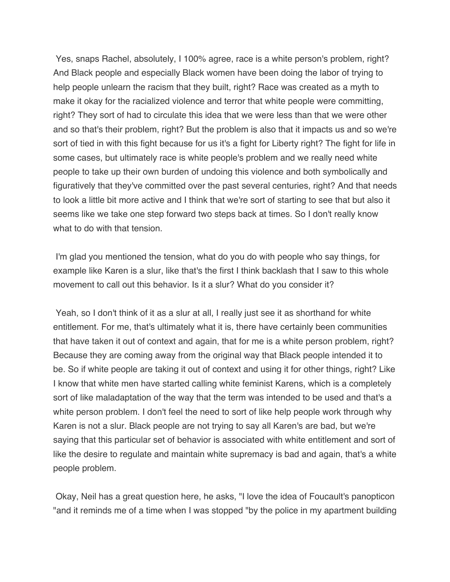Yes, snaps Rachel, absolutely, I 100% agree, race is a white person's problem, right? And Black people and especially Black women have been doing the labor of trying to help people unlearn the racism that they built, right? Race was created as a myth to make it okay for the racialized violence and terror that white people were committing, right? They sort of had to circulate this idea that we were less than that we were other and so that's their problem, right? But the problem is also that it impacts us and so we're sort of tied in with this fight because for us it's a fight for Liberty right? The fight for life in some cases, but ultimately race is white people's problem and we really need white people to take up their own burden of undoing this violence and both symbolically and figuratively that they've committed over the past several centuries, right? And that needs to look a little bit more active and I think that we're sort of starting to see that but also it seems like we take one step forward two steps back at times. So I don't really know what to do with that tension.

 I'm glad you mentioned the tension, what do you do with people who say things, for example like Karen is a slur, like that's the first I think backlash that I saw to this whole movement to call out this behavior. Is it a slur? What do you consider it?

 Yeah, so I don't think of it as a slur at all, I really just see it as shorthand for white entitlement. For me, that's ultimately what it is, there have certainly been communities that have taken it out of context and again, that for me is a white person problem, right? Because they are coming away from the original way that Black people intended it to be. So if white people are taking it out of context and using it for other things, right? Like I know that white men have started calling white feminist Karens, which is a completely sort of like maladaptation of the way that the term was intended to be used and that's a white person problem. I don't feel the need to sort of like help people work through why Karen is not a slur. Black people are not trying to say all Karen's are bad, but we're saying that this particular set of behavior is associated with white entitlement and sort of like the desire to regulate and maintain white supremacy is bad and again, that's a white people problem.

 Okay, Neil has a great question here, he asks, "I love the idea of Foucault's panopticon "and it reminds me of a time when I was stopped "by the police in my apartment building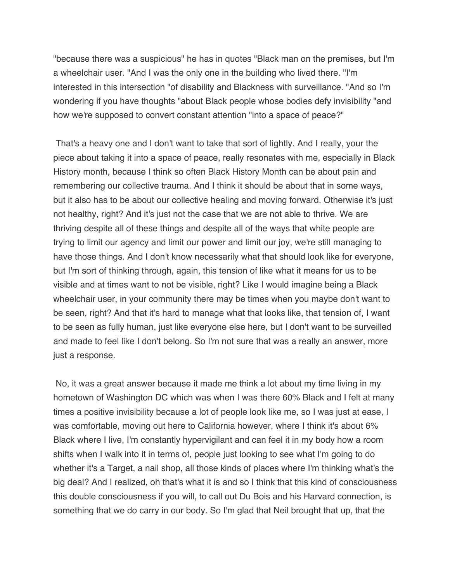"because there was a suspicious" he has in quotes "Black man on the premises, but I'm a wheelchair user. "And I was the only one in the building who lived there. "I'm interested in this intersection "of disability and Blackness with surveillance. "And so I'm wondering if you have thoughts "about Black people whose bodies defy invisibility "and how we're supposed to convert constant attention "into a space of peace?"

 That's a heavy one and I don't want to take that sort of lightly. And I really, your the piece about taking it into a space of peace, really resonates with me, especially in Black History month, because I think so often Black History Month can be about pain and remembering our collective trauma. And I think it should be about that in some ways, but it also has to be about our collective healing and moving forward. Otherwise it's just not healthy, right? And it's just not the case that we are not able to thrive. We are thriving despite all of these things and despite all of the ways that white people are trying to limit our agency and limit our power and limit our joy, we're still managing to have those things. And I don't know necessarily what that should look like for everyone, but I'm sort of thinking through, again, this tension of like what it means for us to be visible and at times want to not be visible, right? Like I would imagine being a Black wheelchair user, in your community there may be times when you maybe don't want to be seen, right? And that it's hard to manage what that looks like, that tension of, I want to be seen as fully human, just like everyone else here, but I don't want to be surveilled and made to feel like I don't belong. So I'm not sure that was a really an answer, more just a response.

 No, it was a great answer because it made me think a lot about my time living in my hometown of Washington DC which was when I was there 60% Black and I felt at many times a positive invisibility because a lot of people look like me, so I was just at ease, I was comfortable, moving out here to California however, where I think it's about 6% Black where I live, I'm constantly hypervigilant and can feel it in my body how a room shifts when I walk into it in terms of, people just looking to see what I'm going to do whether it's a Target, a nail shop, all those kinds of places where I'm thinking what's the big deal? And I realized, oh that's what it is and so I think that this kind of consciousness this double consciousness if you will, to call out Du Bois and his Harvard connection, is something that we do carry in our body. So I'm glad that Neil brought that up, that the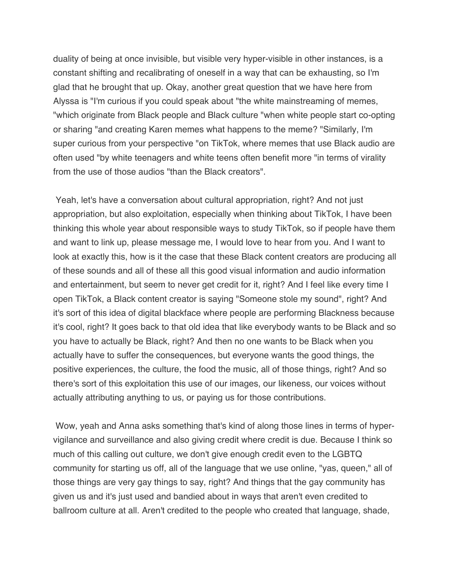duality of being at once invisible, but visible very hyper-visible in other instances, is a constant shifting and recalibrating of oneself in a way that can be exhausting, so I'm glad that he brought that up. Okay, another great question that we have here from Alyssa is "I'm curious if you could speak about "the white mainstreaming of memes, "which originate from Black people and Black culture "when white people start co-opting or sharing "and creating Karen memes what happens to the meme? "Similarly, I'm super curious from your perspective "on TikTok, where memes that use Black audio are often used "by white teenagers and white teens often benefit more "in terms of virality from the use of those audios "than the Black creators".

 Yeah, let's have a conversation about cultural appropriation, right? And not just appropriation, but also exploitation, especially when thinking about TikTok, I have been thinking this whole year about responsible ways to study TikTok, so if people have them and want to link up, please message me, I would love to hear from you. And I want to look at exactly this, how is it the case that these Black content creators are producing all of these sounds and all of these all this good visual information and audio information and entertainment, but seem to never get credit for it, right? And I feel like every time I open TikTok, a Black content creator is saying "Someone stole my sound", right? And it's sort of this idea of digital blackface where people are performing Blackness because it's cool, right? It goes back to that old idea that like everybody wants to be Black and so you have to actually be Black, right? And then no one wants to be Black when you actually have to suffer the consequences, but everyone wants the good things, the positive experiences, the culture, the food the music, all of those things, right? And so there's sort of this exploitation this use of our images, our likeness, our voices without actually attributing anything to us, or paying us for those contributions.

 Wow, yeah and Anna asks something that's kind of along those lines in terms of hyper- vigilance and surveillance and also giving credit where credit is due. Because I think so much of this calling out culture, we don't give enough credit even to the LGBTQ community for starting us off, all of the language that we use online, "yas, queen," all of those things are very gay things to say, right? And things that the gay community has given us and it's just used and bandied about in ways that aren't even credited to ballroom culture at all. Aren't credited to the people who created that language, shade,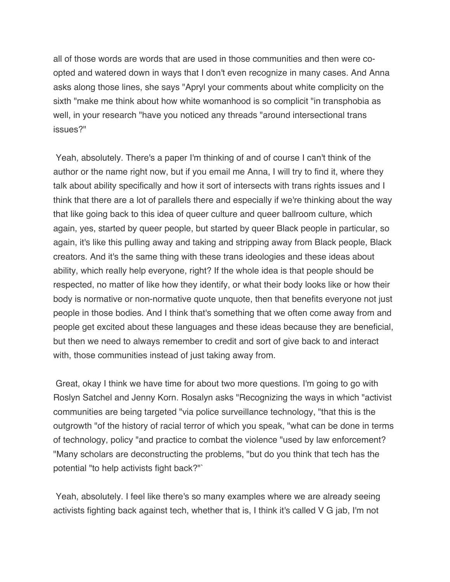all of those words are words that are used in those communities and then were co- opted and watered down in ways that I don't even recognize in many cases. And Anna asks along those lines, she says "Apryl your comments about white complicity on the sixth "make me think about how white womanhood is so complicit "in transphobia as well, in your research "have you noticed any threads "around intersectional trans issues?"

 Yeah, absolutely. There's a paper I'm thinking of and of course I can't think of the author or the name right now, but if you email me Anna, I will try to find it, where they talk about ability specifically and how it sort of intersects with trans rights issues and I think that there are a lot of parallels there and especially if we're thinking about the way that like going back to this idea of queer culture and queer ballroom culture, which again, yes, started by queer people, but started by queer Black people in particular, so again, it's like this pulling away and taking and stripping away from Black people, Black creators. And it's the same thing with these trans ideologies and these ideas about ability, which really help everyone, right? If the whole idea is that people should be respected, no matter of like how they identify, or what their body looks like or how their body is normative or non-normative quote unquote, then that benefits everyone not just people in those bodies. And I think that's something that we often come away from and people get excited about these languages and these ideas because they are beneficial, but then we need to always remember to credit and sort of give back to and interact with, those communities instead of just taking away from.

 Great, okay I think we have time for about two more questions. I'm going to go with Roslyn Satchel and Jenny Korn. Rosalyn asks "Recognizing the ways in which "activist communities are being targeted "via police surveillance technology, "that this is the outgrowth "of the history of racial terror of which you speak, "what can be done in terms of technology, policy "and practice to combat the violence "used by law enforcement? "Many scholars are deconstructing the problems, "but do you think that tech has the potential "to help activists fight back?"`

 Yeah, absolutely. I feel like there's so many examples where we are already seeing activists fighting back against tech, whether that is, I think it's called V G jab, I'm not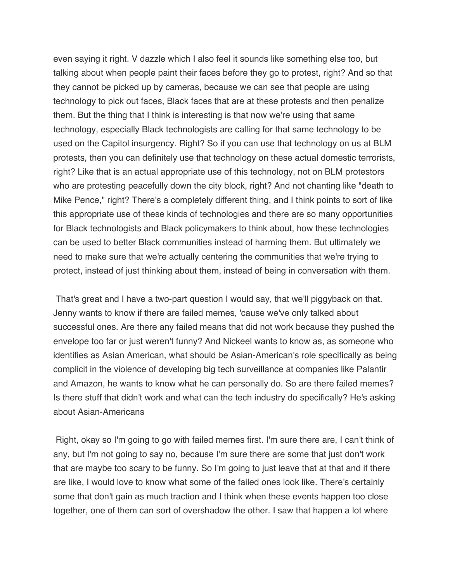even saying it right. V dazzle which I also feel it sounds like something else too, but talking about when people paint their faces before they go to protest, right? And so that they cannot be picked up by cameras, because we can see that people are using technology to pick out faces, Black faces that are at these protests and then penalize them. But the thing that I think is interesting is that now we're using that same technology, especially Black technologists are calling for that same technology to be used on the Capitol insurgency. Right? So if you can use that technology on us at BLM protests, then you can definitely use that technology on these actual domestic terrorists, right? Like that is an actual appropriate use of this technology, not on BLM protestors who are protesting peacefully down the city block, right? And not chanting like "death to Mike Pence," right? There's a completely different thing, and I think points to sort of like this appropriate use of these kinds of technologies and there are so many opportunities for Black technologists and Black policymakers to think about, how these technologies can be used to better Black communities instead of harming them. But ultimately we need to make sure that we're actually centering the communities that we're trying to protect, instead of just thinking about them, instead of being in conversation with them.

 That's great and I have a two-part question I would say, that we'll piggyback on that. Jenny wants to know if there are failed memes, 'cause we've only talked about successful ones. Are there any failed means that did not work because they pushed the envelope too far or just weren't funny? And Nickeel wants to know as, as someone who identifies as Asian American, what should be Asian-American's role specifically as being complicit in the violence of developing big tech surveillance at companies like Palantir and Amazon, he wants to know what he can personally do. So are there failed memes? Is there stuff that didn't work and what can the tech industry do specifically? He's asking about Asian-Americans

 Right, okay so I'm going to go with failed memes first. I'm sure there are, I can't think of any, but I'm not going to say no, because I'm sure there are some that just don't work that are maybe too scary to be funny. So I'm going to just leave that at that and if there are like, I would love to know what some of the failed ones look like. There's certainly some that don't gain as much traction and I think when these events happen too close together, one of them can sort of overshadow the other. I saw that happen a lot where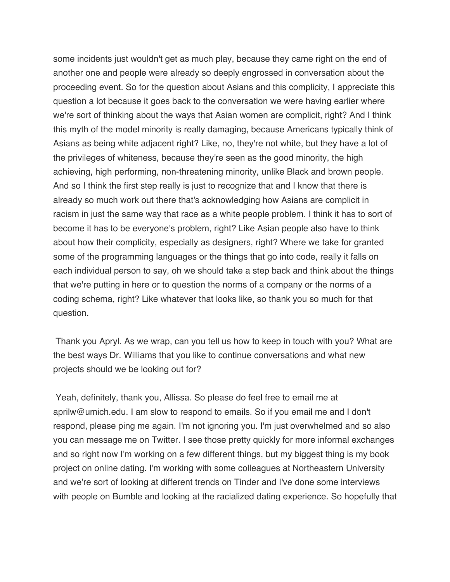some incidents just wouldn't get as much play, because they came right on the end of another one and people were already so deeply engrossed in conversation about the proceeding event. So for the question about Asians and this complicity, I appreciate this question a lot because it goes back to the conversation we were having earlier where we're sort of thinking about the ways that Asian women are complicit, right? And I think this myth of the model minority is really damaging, because Americans typically think of Asians as being white adjacent right? Like, no, they're not white, but they have a lot of the privileges of whiteness, because they're seen as the good minority, the high achieving, high performing, non-threatening minority, unlike Black and brown people. And so I think the first step really is just to recognize that and I know that there is already so much work out there that's acknowledging how Asians are complicit in racism in just the same way that race as a white people problem. I think it has to sort of become it has to be everyone's problem, right? Like Asian people also have to think about how their complicity, especially as designers, right? Where we take for granted some of the programming languages or the things that go into code, really it falls on each individual person to say, oh we should take a step back and think about the things that we're putting in here or to question the norms of a company or the norms of a coding schema, right? Like whatever that looks like, so thank you so much for that question. question.<br>Thank you Apryl. As we wrap, can you tell us how to keep in touch with you? What are

 the best ways Dr. Williams that you like to continue conversations and what new projects should we be looking out for?

 Yeah, definitely, thank you, Allissa. So please do feel free to email me at [aprilw@umich.edu](mailto:aprilw@umich.edu). I am slow to respond to emails. So if you email me and I don't respond, please ping me again. I'm not ignoring you. I'm just overwhelmed and so also you can message me on Twitter. I see those pretty quickly for more informal exchanges and so right now I'm working on a few different things, but my biggest thing is my book project on online dating. I'm working with some colleagues at Northeastern University and we're sort of looking at different trends on Tinder and I've done some interviews with people on Bumble and looking at the racialized dating experience. So hopefully that